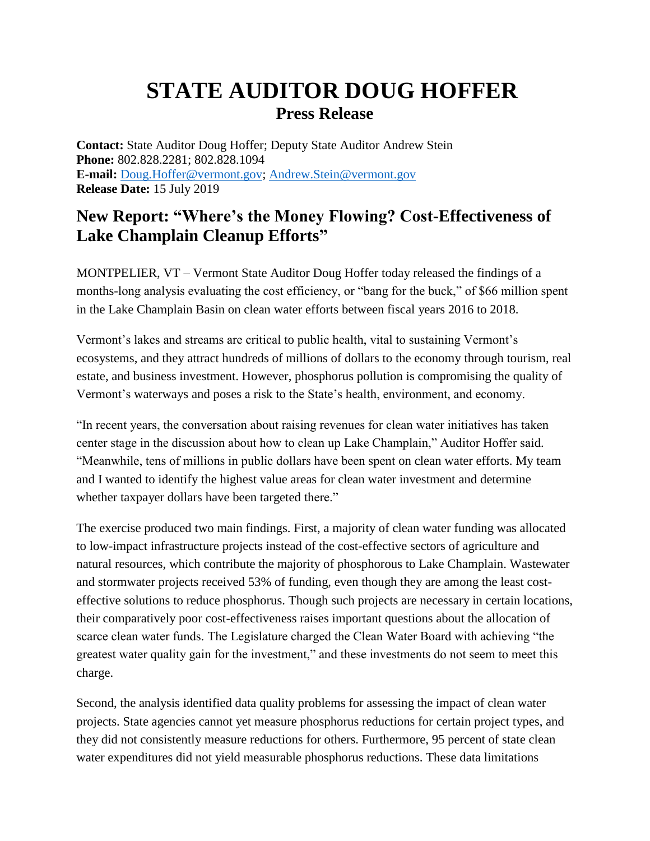## **STATE AUDITOR DOUG HOFFER Press Release**

**Contact:** State Auditor Doug Hoffer; Deputy State Auditor Andrew Stein **Phone:** 802.828.2281; 802.828.1094 **E-mail:** [Doug.Hoffer@vermont.gov;](mailto:Doug.Hoffer@vermont.gov) [Andrew.Stein@vermont.gov](mailto:Andrew.Stein@vermont.gov) **Release Date:** 15 July 2019

## **New Report: "Where's the Money Flowing? Cost-Effectiveness of Lake Champlain Cleanup Efforts"**

MONTPELIER, VT – Vermont State Auditor Doug Hoffer today released the findings of a months-long analysis evaluating the cost efficiency, or "bang for the buck," of \$66 million spent in the Lake Champlain Basin on clean water efforts between fiscal years 2016 to 2018.

Vermont's lakes and streams are critical to public health, vital to sustaining Vermont's ecosystems, and they attract hundreds of millions of dollars to the economy through tourism, real estate, and business investment. However, phosphorus pollution is compromising the quality of Vermont's waterways and poses a risk to the State's health, environment, and economy.

"In recent years, the conversation about raising revenues for clean water initiatives has taken center stage in the discussion about how to clean up Lake Champlain," Auditor Hoffer said. "Meanwhile, tens of millions in public dollars have been spent on clean water efforts. My team and I wanted to identify the highest value areas for clean water investment and determine whether taxpayer dollars have been targeted there."

The exercise produced two main findings. First, a majority of clean water funding was allocated to low-impact infrastructure projects instead of the cost-effective sectors of agriculture and natural resources, which contribute the majority of phosphorous to Lake Champlain. Wastewater and stormwater projects received 53% of funding, even though they are among the least costeffective solutions to reduce phosphorus. Though such projects are necessary in certain locations, their comparatively poor cost-effectiveness raises important questions about the allocation of scarce clean water funds. The Legislature charged the Clean Water Board with achieving "the greatest water quality gain for the investment," and these investments do not seem to meet this charge.

Second, the analysis identified data quality problems for assessing the impact of clean water projects. State agencies cannot yet measure phosphorus reductions for certain project types, and they did not consistently measure reductions for others. Furthermore, 95 percent of state clean water expenditures did not yield measurable phosphorus reductions. These data limitations